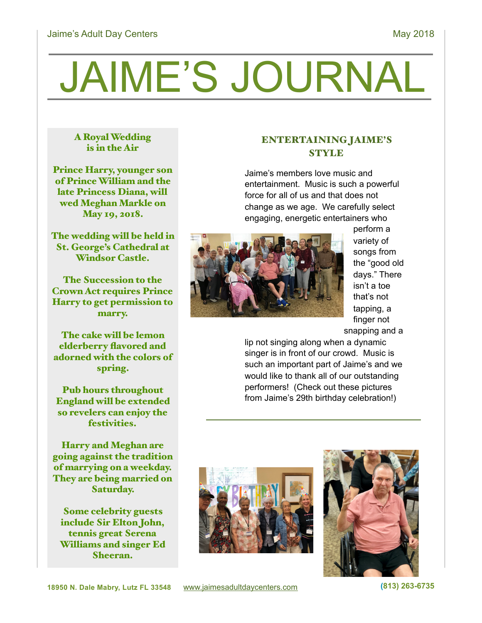# JAIME'S JOURNAL

#### A Royal Wedding is in the Air

Prince Harry, younger son of Prince William and the late Princess Diana, will wed Meghan Markle on May 19, 2018.

The wedding will be held in St. George's Cathedral at Windsor Castle.

The Succession to the Crown Act requires Prince Harry to get permission to marry.

The cake will be lemon elderberry flavored and adorned with the colors of spring.

Pub hours throughout England will be extended so revelers can enjoy the festivities.

Harry and Meghan are going against the tradition of marrying on a weekday. They are being married on Saturday.

Some celebrity guests include Sir Elton John, tennis great Serena Williams and singer Ed Sheeran.

## ENTERTAINING JAIME'S **STYLE**

Jaime's members love music and entertainment. Music is such a powerful force for all of us and that does not change as we age. We carefully select engaging, energetic entertainers who



perform a variety of songs from the "good old days." There isn't a toe that's not tapping, a finger not snapping and a

lip not singing along when a dynamic singer is in front of our crowd. Music is such an important part of Jaime's and we would like to thank all of our outstanding performers! (Check out these pictures from Jaime's 29th birthday celebration!)



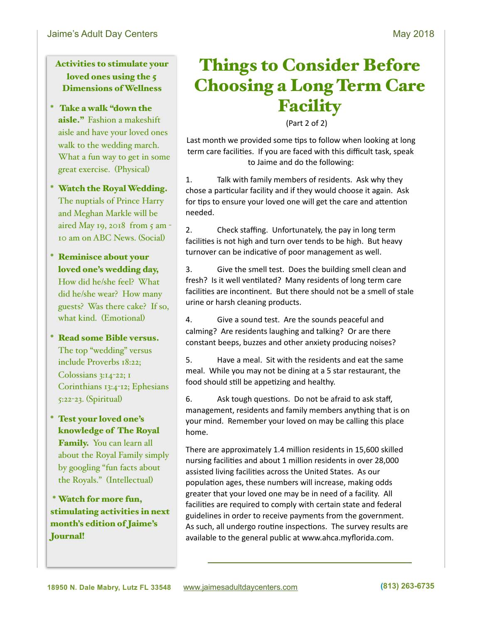Activities to stimulate your loved ones using the 5 Dimensions of Wellness

- \* Take a walk "down the aisle." Fashion a makeshift aisle and have your loved ones walk to the wedding march. What a fun way to get in some great exercise. (Physical)
- \* Watch the Royal Wedding. The nuptials of Prince Harry and Meghan Markle will be aired May 19, 2018 from 5 am - 10 am on ABC News. (Social)
- \* Reminisce about your loved one's wedding day, How did he/she feel? What did he/she wear? How many guests? Was there cake? If so, what kind. (Emotional)
- \* Read some Bible versus. The top "wedding" versus include Proverbs 18:22; Colossians 3:14-22; 1 Corinthians 13:4-12; Ephesians 5:22-23. (Spiritual)
- \* Test your loved one's knowledge of The Royal Family. You can learn all about the Royal Family simply by googling "fun facts about the Royals." (Intellectual)

\* Watch for more fun, stimulating activities in next month's edition of Jaime's Journal!

# Things to Consider Before Choosing a Long Term Care **Facility**

 $(Part 2 of 2)$ 

Last month we provided some tips to follow when looking at long term care facilities. If you are faced with this difficult task, speak to Jaime and do the following:

1. Talk with family members of residents. Ask why they chose a particular facility and if they would choose it again. Ask for tips to ensure your loved one will get the care and attention needed. 

2. Check staffing. Unfortunately, the pay in long term facilities is not high and turn over tends to be high. But heavy turnover can be indicative of poor management as well.

3. Give the smell test. Does the building smell clean and fresh? Is it well ventilated? Many residents of long term care facilities are incontinent. But there should not be a smell of stale urine or harsh cleaning products.

4. Give a sound test. Are the sounds peaceful and calming? Are residents laughing and talking? Or are there constant beeps, buzzes and other anxiety producing noises?

5. Have a meal. Sit with the residents and eat the same meal. While you may not be dining at a 5 star restaurant, the food should still be appetizing and healthy.

6. Ask tough questions. Do not be afraid to ask staff, management, residents and family members anything that is on your mind. Remember your loved on may be calling this place home. 

There are approximately 1.4 million residents in 15,600 skilled nursing facilities and about 1 million residents in over 28,000 assisted living facilities across the United States. As our population ages, these numbers will increase, making odds greater that your loved one may be in need of a facility. All facilities are required to comply with certain state and federal guidelines in order to receive payments from the government. As such, all undergo routine inspections. The survey results are available to the general public at www.ahca.myflorida.com.